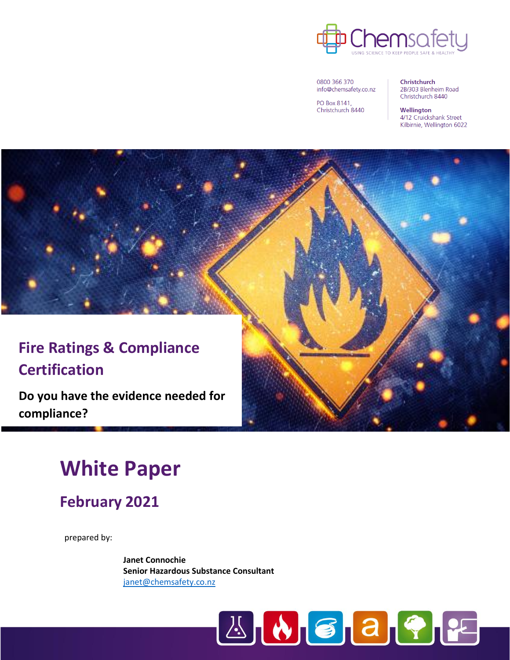

0800 366 370 info@chemsafety.co.nz

PO Box 8141, Christchurch 8440 Christchurch 2B/303 Blenheim Road Christchurch 8440

Wellington 4/12 Cruickshank Street Kilbirnie, Wellington 6022

# **Fire Ratings & Compliance Certification**

**Do you have the evidence needed for compliance?**

# **White Paper**

**February 2021**

prepared by:

**Janet Connochie Senior Hazardous Substance Consultant** [janet@chemsafety.co.nz](mailto:janet@chemsafety.co.nz)

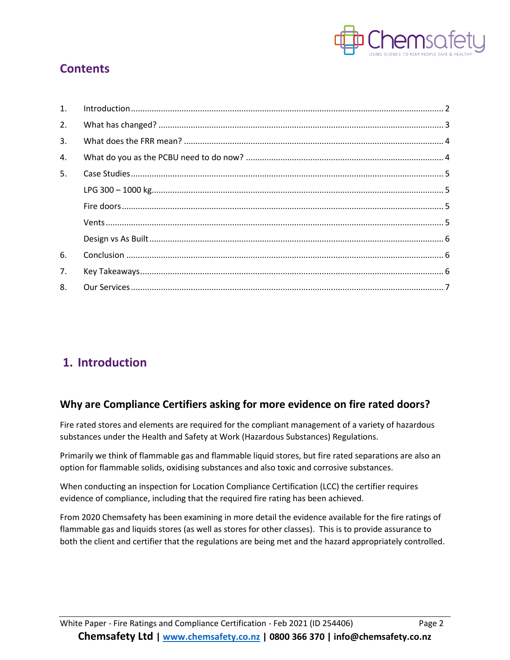

### **Contents**

| 1 <sub>1</sub> |  |
|----------------|--|
| 2.             |  |
| 3.             |  |
| 4.             |  |
| 5.             |  |
|                |  |
|                |  |
|                |  |
|                |  |
| 6.             |  |
| 7.             |  |
| 8.             |  |

### <span id="page-1-0"></span>**1. Introduction**

#### **Why are Compliance Certifiers asking for more evidence on fire rated doors?**

Fire rated stores and elements are required for the compliant management of a variety of hazardous substances under the Health and Safety at Work (Hazardous Substances) Regulations.

Primarily we think of flammable gas and flammable liquid stores, but fire rated separations are also an option for flammable solids, oxidising substances and also toxic and corrosive substances.

When conducting an inspection for Location Compliance Certification (LCC) the certifier requires evidence of compliance, including that the required fire rating has been achieved.

From 2020 Chemsafety has been examining in more detail the evidence available for the fire ratings of flammable gas and liquids stores (as well as stores for other classes). This is to provide assurance to both the client and certifier that the regulations are being met and the hazard appropriately controlled.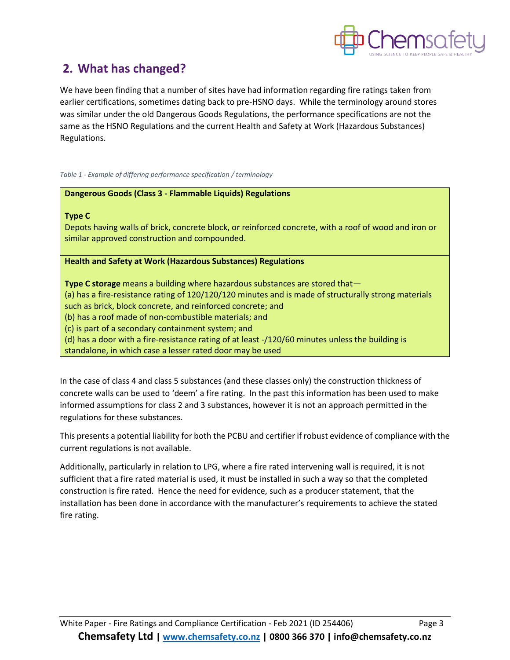

### <span id="page-2-0"></span>**2. What has changed?**

We have been finding that a number of sites have had information regarding fire ratings taken from earlier certifications, sometimes dating back to pre-HSNO days. While the terminology around stores was similar under the old Dangerous Goods Regulations, the performance specifications are not the same as the HSNO Regulations and the current Health and Safety at Work (Hazardous Substances) Regulations.

*Table 1 - Example of differing performance specification / terminology*

#### **Dangerous Goods (Class 3 - Flammable Liquids) Regulations**

#### **Type C**

Depots having walls of brick, concrete block, or reinforced concrete, with a roof of wood and iron or similar approved construction and compounded.

#### **Health and Safety at Work (Hazardous Substances) Regulations**

**Type C storage** means a building where hazardous substances are stored that— (a) has a fire-resistance rating of 120/120/120 minutes and is made of structurally strong materials such as brick, block concrete, and reinforced concrete; and (b) has a roof made of non-combustible materials; and (c) is part of a secondary containment system; and (d) has a door with a fire-resistance rating of at least -/120/60 minutes unless the building is standalone, in which case a lesser rated door may be used

In the case of class 4 and class 5 substances (and these classes only) the construction thickness of concrete walls can be used to 'deem' a fire rating. In the past this information has been used to make informed assumptions for class 2 and 3 substances, however it is not an approach permitted in the regulations for these substances.

This presents a potential liability for both the PCBU and certifier if robust evidence of compliance with the current regulations is not available.

Additionally, particularly in relation to LPG, where a fire rated intervening wall is required, it is not sufficient that a fire rated material is used, it must be installed in such a way so that the completed construction is fire rated. Hence the need for evidence, such as a producer statement, that the installation has been done in accordance with the manufacturer's requirements to achieve the stated fire rating.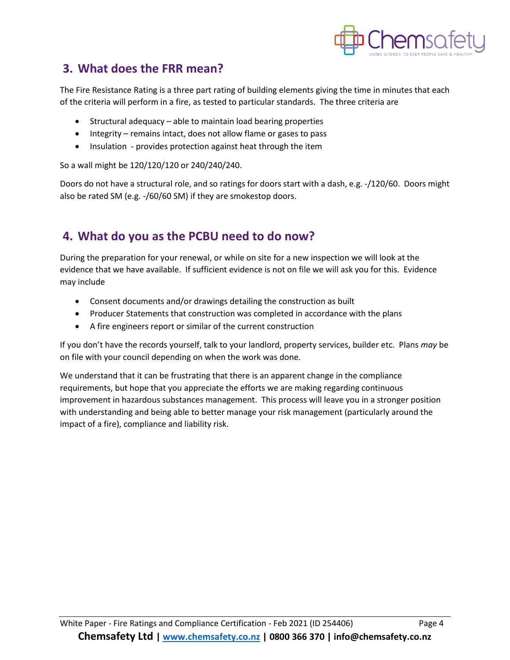

### <span id="page-3-0"></span>**3. What does the FRR mean?**

The Fire Resistance Rating is a three part rating of building elements giving the time in minutes that each of the criteria will perform in a fire, as tested to particular standards. The three criteria are

- Structural adequacy able to maintain load bearing properties
- Integrity remains intact, does not allow flame or gases to pass
- Insulation provides protection against heat through the item

So a wall might be 120/120/120 or 240/240/240.

Doors do not have a structural role, and so ratings for doors start with a dash, e.g. -/120/60. Doors might also be rated SM (e.g. -/60/60 SM) if they are smokestop doors.

### <span id="page-3-1"></span>**4. What do you as the PCBU need to do now?**

During the preparation for your renewal, or while on site for a new inspection we will look at the evidence that we have available. If sufficient evidence is not on file we will ask you for this. Evidence may include

- Consent documents and/or drawings detailing the construction as built
- Producer Statements that construction was completed in accordance with the plans
- A fire engineers report or similar of the current construction

If you don't have the records yourself, talk to your landlord, property services, builder etc. Plans *may* be on file with your council depending on when the work was done.

We understand that it can be frustrating that there is an apparent change in the compliance requirements, but hope that you appreciate the efforts we are making regarding continuous improvement in hazardous substances management. This process will leave you in a stronger position with understanding and being able to better manage your risk management (particularly around the impact of a fire), compliance and liability risk.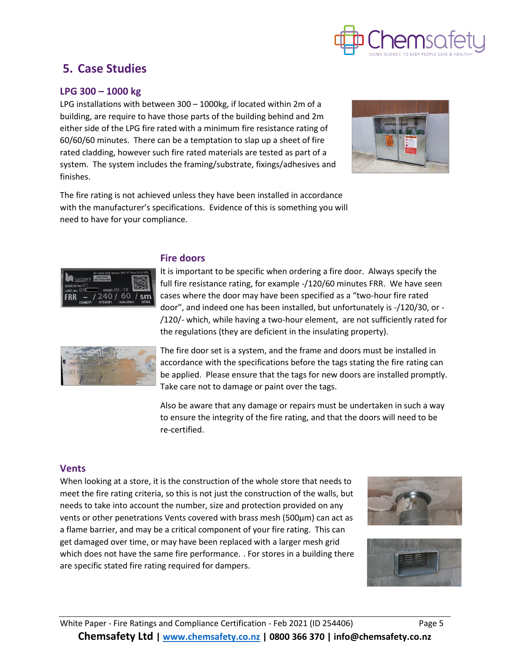

### <span id="page-4-0"></span>**5. Case Studies**

#### <span id="page-4-1"></span>**LPG 300 – 1000 kg**

LPG installations with between 300 – 1000kg, if located within 2m of a building, are require to have those parts of the building behind and 2m either side of the LPG fire rated with a minimum fire resistance rating of 60/60/60 minutes. There can be a temptation to slap up a sheet of fire rated cladding, however such fire rated materials are tested as part of a system. The system includes the framing/substrate, fixings/adhesives and finishes.



The fire rating is not achieved unless they have been installed in accordance with the manufacturer's specifications. Evidence of this is something you will need to have for your compliance.

<span id="page-4-2"></span>

#### **Fire doors**

It is important to be specific when ordering a fire door. Always specify the full fire resistance rating, for example -/120/60 minutes FRR. We have seen cases where the door may have been specified as a "two-hour fire rated door", and indeed one has been installed, but unfortunately is -/120/30, or - /120/- which, while having a two-hour element, are not sufficiently rated for the regulations (they are deficient in the insulating property).



The fire door set is a system, and the frame and doors must be installed in accordance with the specifications before the tags stating the fire rating can be applied. Please ensure that the tags for new doors are installed promptly. Take care not to damage or paint over the tags.

Also be aware that any damage or repairs must be undertaken in such a way to ensure the integrity of the fire rating, and that the doors will need to be re-certified.

#### <span id="page-4-3"></span>**Vents**

When looking at a store, it is the construction of the whole store that needs to meet the fire rating criteria, so this is not just the construction of the walls, but needs to take into account the number, size and protection provided on any vents or other penetrations Vents covered with brass mesh (500µm) can act as a flame barrier, and may be a critical component of your fire rating. This can get damaged over time, or may have been replaced with a larger mesh grid which does not have the same fire performance. . For stores in a building there are specific stated fire rating required for dampers.



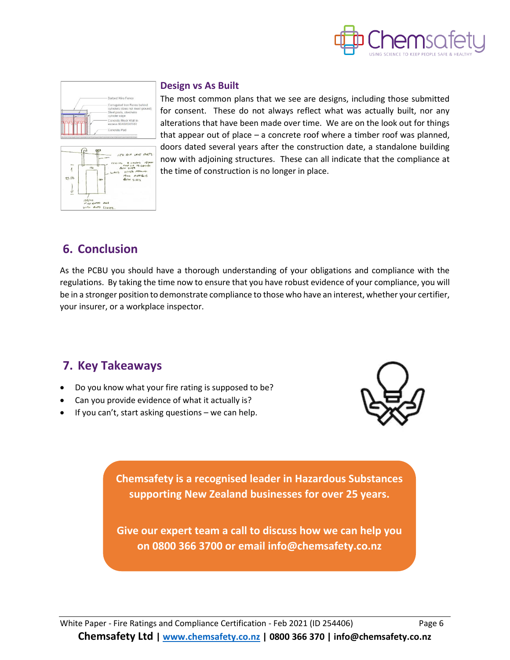

<span id="page-5-0"></span>



#### **Design vs As Built**

The most common plans that we see are designs, including those submitted for consent. These do not always reflect what was actually built, nor any alterations that have been made over time. We are on the look out for things that appear out of place – a concrete roof where a timber roof was planned, doors dated several years after the construction date, a standalone building now with adjoining structures. These can all indicate that the compliance at the time of construction is no longer in place.

### <span id="page-5-1"></span>**6. Conclusion**

As the PCBU you should have a thorough understanding of your obligations and compliance with the regulations. By taking the time now to ensure that you have robust evidence of your compliance, you will be in a stronger position to demonstrate compliance to those who have an interest, whether your certifier, your insurer, or a workplace inspector.

### <span id="page-5-2"></span>**7. Key Takeaways**

- Do you know what your fire rating is supposed to be?
- Can you provide evidence of what it actually is?
- If you can't, start asking questions  $-$  we can help.



**Chemsafety is a recognised leader in Hazardous Substances supporting New Zealand businesses for over 25 years.** 

**Give our expert team a call to discuss how we can help you on 0800 366 3700 or email info@chemsafety.co.nz**